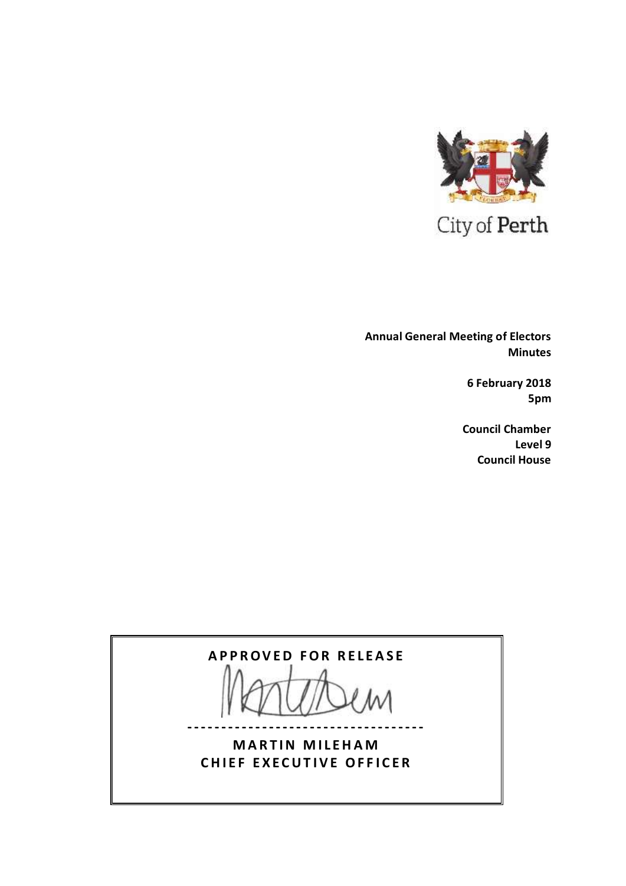

 **Annual General Meeting of Electors Minutes**

> **6 February 2018 5pm**

**Council Chamber Level 9 Council House**

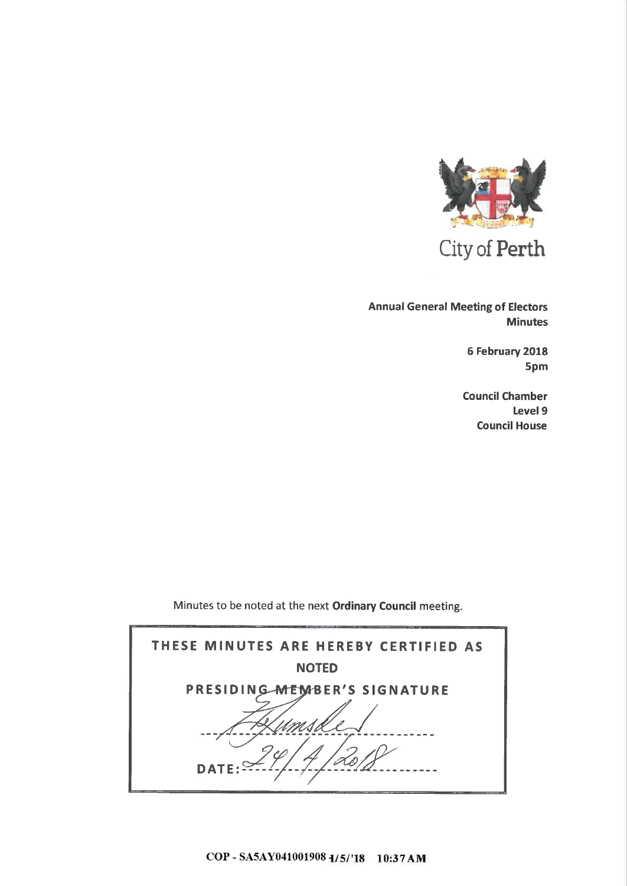

City of Perth

**Annual General Meeting of Electors Minutes** 

> 6 February 2018 5pm

**Council Chamber** Level 9 **Council House** 

Minutes to be noted at the next Ordinary Council meeting.

| THESE MINUTES ARE HEREBY CERTIFIED AS |  |  |  |
|---------------------------------------|--|--|--|
| <b>NOTED</b>                          |  |  |  |
| PRESIDING MEMBER'S SIGNATURE          |  |  |  |
|                                       |  |  |  |
| <b>DATE</b>                           |  |  |  |
|                                       |  |  |  |

COP - SA5AY041001908 1/5/'18 10:37 AM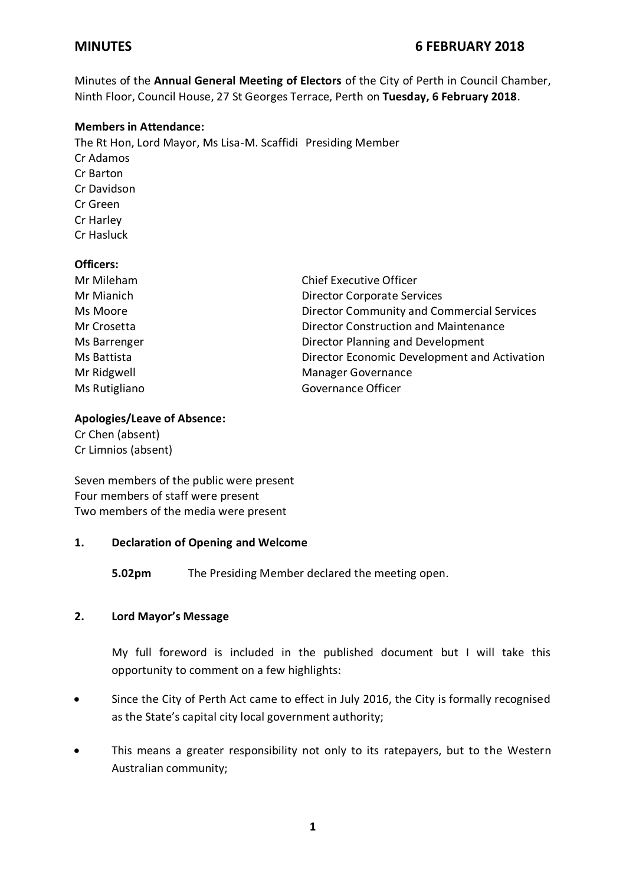# **MINUTES 6 FEBRUARY 2018**

Minutes of the **Annual General Meeting of Electors** of the City of Perth in Council Chamber, Ninth Floor, Council House, 27 St Georges Terrace, Perth on **Tuesday, 6 February 2018**.

## **Members in Attendance:**

The Rt Hon, Lord Mayor, Ms Lisa-M. Scaffidi Presiding Member Cr Adamos Cr Barton Cr Davidson Cr Green Cr Harley Cr Hasluck

### **Officers:**

| Mr Mileham    | <b>Chief Executive Officer</b>                    |
|---------------|---------------------------------------------------|
| Mr Mianich    | <b>Director Corporate Services</b>                |
| Ms Moore      | <b>Director Community and Commercial Services</b> |
| Mr Crosetta   | Director Construction and Maintenance             |
| Ms Barrenger  | Director Planning and Development                 |
| Ms Battista   | Director Economic Development and Activation      |
| Mr Ridgwell   | <b>Manager Governance</b>                         |
| Ms Rutigliano | Governance Officer                                |

## **Apologies/Leave of Absence:**

Cr Chen (absent) Cr Limnios (absent)

Seven members of the public were present Four members of staff were present Two members of the media were present

### **1. Declaration of Opening and Welcome**

**5.02pm** The Presiding Member declared the meeting open.

## **2. Lord Mayor's Message**

My full foreword is included in the published document but I will take this opportunity to comment on a few highlights:

- Since the City of Perth Act came to effect in July 2016, the City is formally recognised as the State's capital city local government authority;
- This means a greater responsibility not only to its ratepayers, but to the Western Australian community;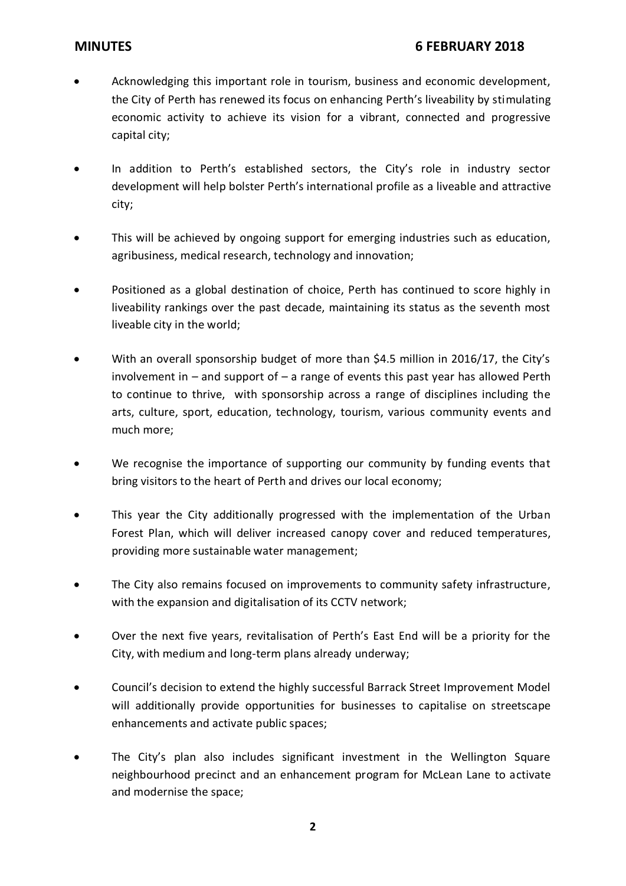- Acknowledging this important role in tourism, business and economic development, the City of Perth has renewed its focus on enhancing Perth's liveability by stimulating economic activity to achieve its vision for a vibrant, connected and progressive capital city;
- In addition to Perth's established sectors, the City's role in industry sector development will help bolster Perth's international profile as a liveable and attractive city;
- This will be achieved by ongoing support for emerging industries such as education, agribusiness, medical research, technology and innovation;
- Positioned as a global destination of choice, Perth has continued to score highly in liveability rankings over the past decade, maintaining its status as the seventh most liveable city in the world;
- With an overall sponsorship budget of more than \$4.5 million in 2016/17, the City's involvement in  $-$  and support of  $-$  a range of events this past year has allowed Perth to continue to thrive, with sponsorship across a range of disciplines including the arts, culture, sport, education, technology, tourism, various community events and much more;
- We recognise the importance of supporting our community by funding events that bring visitors to the heart of Perth and drives our local economy;
- This year the City additionally progressed with the implementation of the Urban Forest Plan, which will deliver increased canopy cover and reduced temperatures, providing more sustainable water management;
- The City also remains focused on improvements to community safety infrastructure, with the expansion and digitalisation of its CCTV network;
- Over the next five years, revitalisation of Perth's East End will be a priority for the City, with medium and long-term plans already underway;
- Council's decision to extend the highly successful Barrack Street Improvement Model will additionally provide opportunities for businesses to capitalise on streetscape enhancements and activate public spaces;
- The City's plan also includes significant investment in the Wellington Square neighbourhood precinct and an enhancement program for McLean Lane to activate and modernise the space;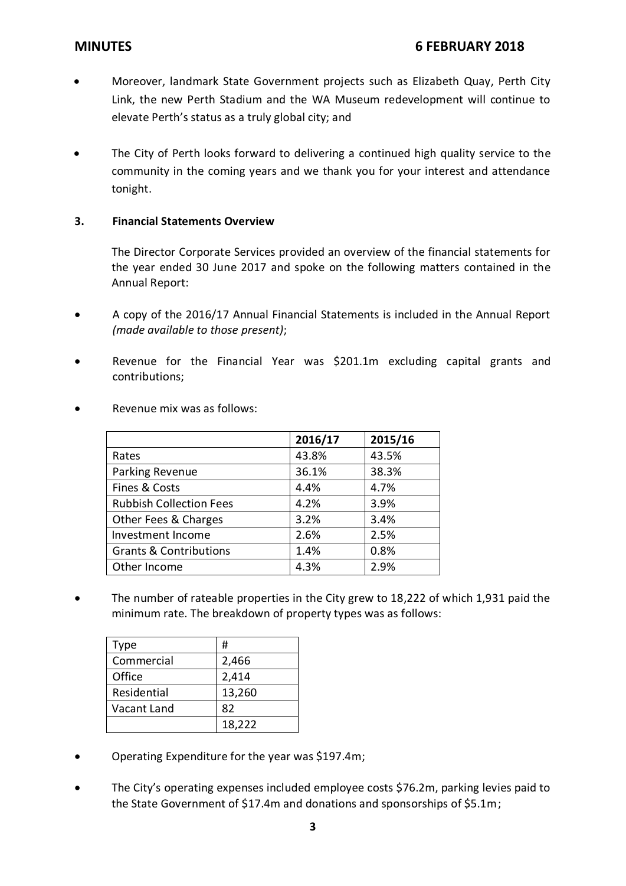- Moreover, landmark State Government projects such as Elizabeth Quay, Perth City Link, the new Perth Stadium and the WA Museum redevelopment will continue to elevate Perth's status as a truly global city; and
- The City of Perth looks forward to delivering a continued high quality service to the community in the coming years and we thank you for your interest and attendance tonight.

## **3. Financial Statements Overview**

The Director Corporate Services provided an overview of the financial statements for the year ended 30 June 2017 and spoke on the following matters contained in the Annual Report:

- A copy of the 2016/17 Annual Financial Statements is included in the Annual Report *(made available to those present)*;
- Revenue for the Financial Year was \$201.1m excluding capital grants and contributions;

|                                   | 2016/17 | 2015/16 |
|-----------------------------------|---------|---------|
| Rates                             | 43.8%   | 43.5%   |
| Parking Revenue                   | 36.1%   | 38.3%   |
| Fines & Costs                     | 4.4%    | 4.7%    |
| <b>Rubbish Collection Fees</b>    | 4.2%    | 3.9%    |
| Other Fees & Charges              | 3.2%    | 3.4%    |
| Investment Income                 | 2.6%    | 2.5%    |
| <b>Grants &amp; Contributions</b> | 1.4%    | 0.8%    |
| Other Income                      | 4.3%    | 2.9%    |

Revenue mix was as follows:

 The number of rateable properties in the City grew to 18,222 of which 1,931 paid the minimum rate. The breakdown of property types was as follows:

| Type        | #      |
|-------------|--------|
| Commercial  | 2,466  |
| Office      | 2,414  |
| Residential | 13,260 |
| Vacant Land | 82     |
|             | 18,222 |

- Operating Expenditure for the year was \$197.4m;
- The City's operating expenses included employee costs \$76.2m, parking levies paid to the State Government of \$17.4m and donations and sponsorships of \$5.1m;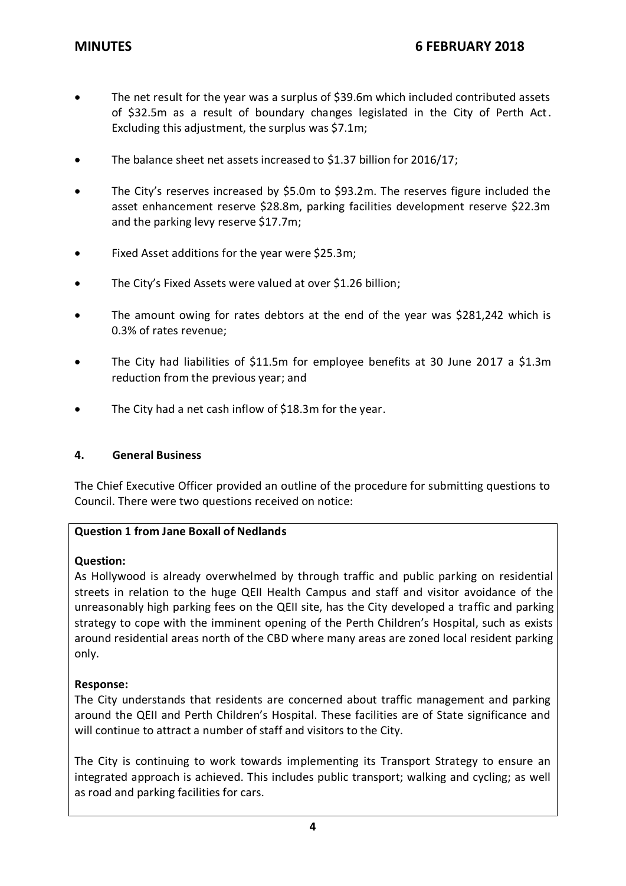- The net result for the year was a surplus of \$39.6m which included contributed assets of \$32.5m as a result of boundary changes legislated in the City of Perth Act. Excluding this adjustment, the surplus was \$7.1m;
- The balance sheet net assets increased to \$1.37 billion for 2016/17;
- The City's reserves increased by \$5.0m to \$93.2m. The reserves figure included the asset enhancement reserve \$28.8m, parking facilities development reserve \$22.3m and the parking levy reserve \$17.7m;
- Fixed Asset additions for the year were \$25.3m;
- The City's Fixed Assets were valued at over \$1.26 billion;
- The amount owing for rates debtors at the end of the year was \$281,242 which is 0.3% of rates revenue;
- The City had liabilities of \$11.5m for employee benefits at 30 June 2017 a \$1.3m reduction from the previous year; and
- The City had a net cash inflow of \$18.3m for the year.

### **4. General Business**

The Chief Executive Officer provided an outline of the procedure for submitting questions to Council. There were two questions received on notice:

## **Question 1 from Jane Boxall of Nedlands**

### **Question:**

As Hollywood is already overwhelmed by through traffic and public parking on residential streets in relation to the huge QEII Health Campus and staff and visitor avoidance of the unreasonably high parking fees on the QEII site, has the City developed a traffic and parking strategy to cope with the imminent opening of the Perth Children's Hospital, such as exists around residential areas north of the CBD where many areas are zoned local resident parking only.

### **Response:**

The City understands that residents are concerned about traffic management and parking around the QEII and Perth Children's Hospital. These facilities are of State significance and will continue to attract a number of staff and visitors to the City.

The City is continuing to work towards implementing its Transport Strategy to ensure an integrated approach is achieved. This includes public transport; walking and cycling; as well as road and parking facilities for cars.